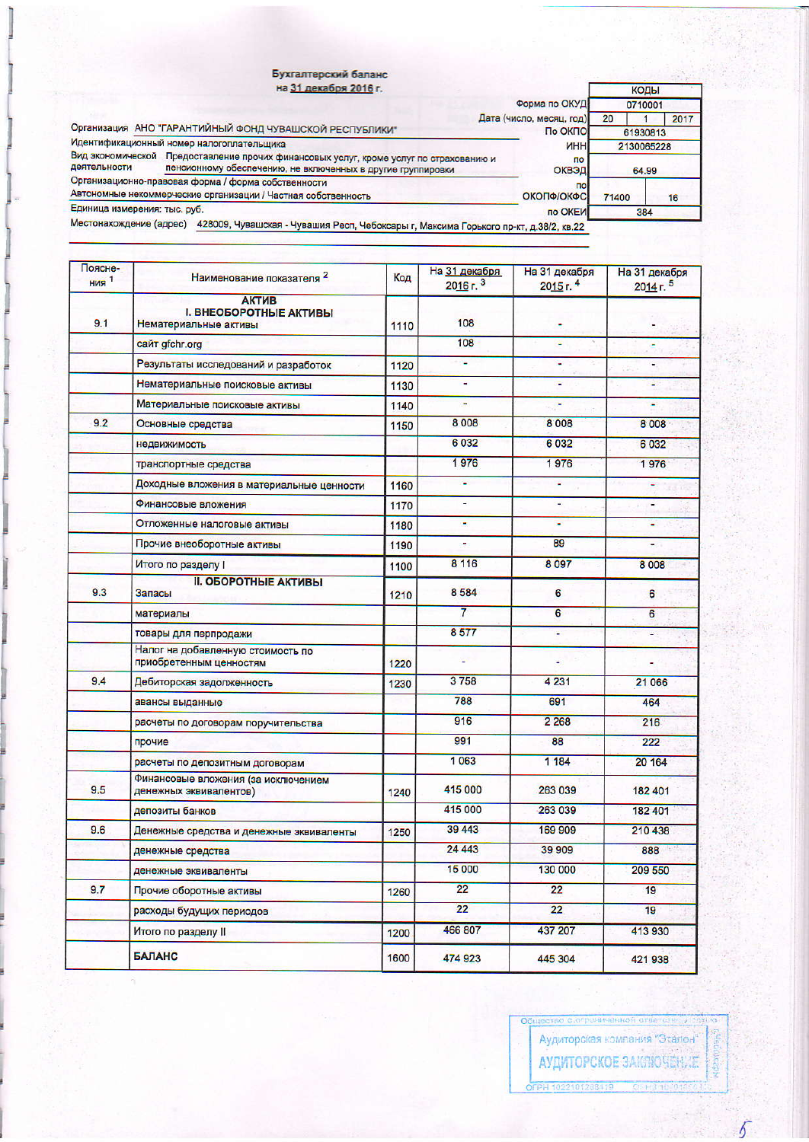|                                                                                                                      | Бухгалтерский баланс<br>на 31 декабря 2016 г.                                                                                                         |                                     | КОДЫ           |      |  |
|----------------------------------------------------------------------------------------------------------------------|-------------------------------------------------------------------------------------------------------------------------------------------------------|-------------------------------------|----------------|------|--|
|                                                                                                                      |                                                                                                                                                       | Форма по ОКУД                       | 0710001        |      |  |
| Организация АНО "ГАРАНТИЙНЫЙ ФОНД ЧУВАШСКОЙ РЕСПУБЛИКИ"                                                              |                                                                                                                                                       | Дата (число, месяц, год)<br>По ОКПО | 20<br>61930813 | 2017 |  |
| Идентификационный номер налогоплательщика                                                                            |                                                                                                                                                       | <b>UHH</b>                          | 2130065228     |      |  |
| деятельности                                                                                                         | Вид экономической Предоставление прочих финансовых услуг, кроме услуг по страхованию и<br>пенсионному обеспечению, не включенных в другие группировки | по<br>ОКВЭД                         | 64.99          |      |  |
| Организационно-правовая форма / форма собственности<br>Автономные некоммерческие организации / Частная собственность | n <sub>0</sub><br>ΟΚΟΠΦ/ΟΚΦΟΙ                                                                                                                         | 71400                               | 16             |      |  |
| Единица измерения: тыс. руб.                                                                                         |                                                                                                                                                       | по ОКЕИ                             | 384            |      |  |
|                                                                                                                      | Местонахождение (адрес) 428009, Чувашская - Чувашия Респ, Чебоксары г, Максима Горького пр-кт, д.38/2, кв.22                                          |                                     |                |      |  |

| Поясне-<br><b>НИЯ</b> <sup>1</sup> | Наименование показателя 2                                              | Код  | На 31 декабря<br>2016r <sup>3</sup> | На 31 декабря<br>2015 г. 4 | На 31 декабря<br>2014 r <sup>5</sup> |
|------------------------------------|------------------------------------------------------------------------|------|-------------------------------------|----------------------------|--------------------------------------|
| 9.1                                | <b>АКТИВ</b><br><b>I. ВНЕОБОРОТНЫЕ АКТИВЫ</b><br>Нематериальные активы | 1110 | 108                                 |                            |                                      |
|                                    | сайт gfchr.org                                                         |      | 108                                 | ٠                          |                                      |
|                                    | Результаты исследований и разработок                                   | 1120 | ٠                                   | ٠                          | ٠                                    |
|                                    | Нематериальные поисковые активы                                        | 1130 | ¥.                                  | Ξ                          | 45                                   |
|                                    | Материальные поисковые активы                                          | 1140 |                                     | ٠                          | ٠                                    |
| 9.2                                | Основные средства                                                      | 1150 | 8 0 0 8                             | 8 0 0 8                    | 8 0 0 8                              |
|                                    | недвижимость                                                           |      | 6 0 3 2                             | 6032                       | 6 0 3 2                              |
|                                    | транспортные средства                                                  |      | 1976                                | 1976                       | 1976                                 |
|                                    | Доходные вложения в материальные ценности                              | 1160 | ÷.                                  | ÷.                         |                                      |
|                                    | Финансовые вложения                                                    | 1170 | $\overline{\phantom{a}}$            | ٠                          | $\blacksquare$                       |
|                                    | Отложенные налоговые активы                                            | 1180 | ٠                                   | ÷                          |                                      |
|                                    | Прочие внеоборотные активы                                             | 1190 | ۰                                   | 89                         |                                      |
|                                    | Итого по разделу                                                       | 1100 | 8 1 1 6                             | 8 0 9 7                    | 8 0 0 8                              |
| 9.3                                | <b>II. ОБОРОТНЫЕ АКТИВЫ</b><br>Запасы                                  | 1210 | 8584                                | 6                          | 6                                    |
|                                    | материалы                                                              |      | $\overline{7}$                      | 6                          | 6                                    |
|                                    | товары для перпродажи                                                  |      | 8577                                | ¥,                         | ¥,                                   |
|                                    | Налог на добавленную стоимость по<br>приобретенным ценностям           | 1220 | ш                                   | ä                          |                                      |
| 9.4                                | Дебиторская задолженность                                              | 1230 | 3758                                | 4 2 3 1                    | 21 066                               |
|                                    | авансы выданные                                                        |      | 788                                 | 691                        | 464                                  |
|                                    | расчеты по договорам поручительства                                    |      | 916                                 | 2 2 6 8                    | 216                                  |
|                                    | прочие                                                                 |      | 991                                 | 88                         | 222                                  |
|                                    | расчеты по депозитным договорам                                        |      | 1063                                | 1 184                      | 20 164                               |
| 9.5                                | Финансовые вложения (за исключением<br>денежных эквивалентов)          | 1240 | 415 000                             | 263 039                    | 182 401                              |
|                                    | депозиты банков                                                        |      | 415 000                             | 263 039                    | 182 401                              |
| 9.6                                | Денежные средства и денежные эквиваленты                               | 1250 | 39 443                              | 169 909                    | 210 438                              |
|                                    | денежные средства                                                      |      | 24 4 4 3                            | 39 909                     | 888                                  |
|                                    | денежные эквиваленты                                                   |      | 15 000                              | 130 000                    | 209 550                              |
| 9.7                                | Прочие оборотные активы                                                | 1260 | 22                                  | 22                         | 19                                   |
|                                    | расходы будущих периодов                                               |      | 22                                  | 22                         | 19                                   |
|                                    | Итого по разделу II                                                    | 1200 | 466 807                             | 437 207                    | 413 930                              |
|                                    | БАЛАНС                                                                 | 1600 | 474 923                             | 445 304                    | 421 938                              |

Общество с ограниченной стве сам Аудиторская компания "Эталон" АУДИТОРСКОЕ ЗАКЛЮЧЕНИЕ OFPH 1022101268419 00 H3 10

10.

**Kepologiph** 

 $\overline{5}$